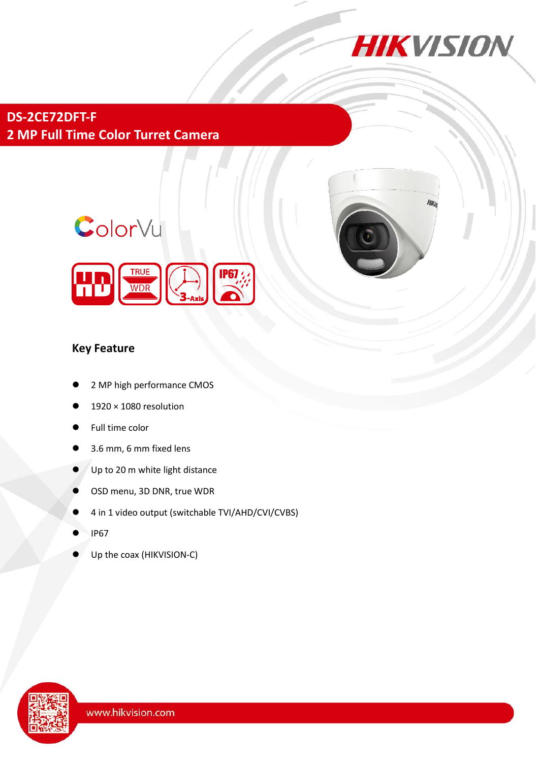

**Hike** 

**DS-2CE72DFT-F 2 MP Full Time Color Turret Camera**

# ColorVu



### **Key Feature**

- 2 MP high performance CMOS
- 1920 × 1080 resolution
- Full time color
- 3.6 mm, 6 mm fixed lens
- Up to 20 m white light distance
- OSD menu, 3D DNR, true WDR
- 4 in 1 video output (switchable TVI/AHD/CVI/CVBS)
- IP67
- Up the coax (HIKVISION-C)

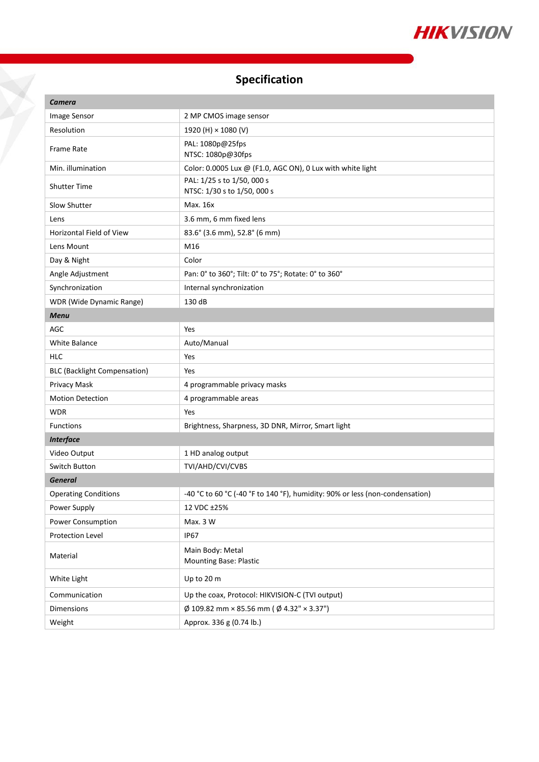

## **Specification**

H

| Camera                              |                                                                              |
|-------------------------------------|------------------------------------------------------------------------------|
| Image Sensor                        | 2 MP CMOS image sensor                                                       |
| Resolution                          | 1920 (H) × 1080 (V)                                                          |
| Frame Rate                          | PAL: 1080p@25fps<br>NTSC: 1080p@30fps                                        |
| Min. illumination                   | Color: 0.0005 Lux @ (F1.0, AGC ON), 0 Lux with white light                   |
| <b>Shutter Time</b>                 | PAL: 1/25 s to 1/50, 000 s<br>NTSC: 1/30 s to 1/50, 000 s                    |
| Slow Shutter                        | Max. 16x                                                                     |
| Lens                                | 3.6 mm, 6 mm fixed lens                                                      |
| Horizontal Field of View            | 83.6° (3.6 mm), 52.8° (6 mm)                                                 |
| Lens Mount                          | M16                                                                          |
| Day & Night                         | Color                                                                        |
| Angle Adjustment                    | Pan: 0° to 360°; Tilt: 0° to 75°; Rotate: 0° to 360°                         |
| Synchronization                     | Internal synchronization                                                     |
| WDR (Wide Dynamic Range)            | 130 dB                                                                       |
| <b>Menu</b>                         |                                                                              |
| AGC                                 | Yes                                                                          |
| White Balance                       | Auto/Manual                                                                  |
| HLC                                 | Yes                                                                          |
| <b>BLC (Backlight Compensation)</b> | Yes                                                                          |
| Privacy Mask                        | 4 programmable privacy masks                                                 |
| <b>Motion Detection</b>             | 4 programmable areas                                                         |
| <b>WDR</b>                          | Yes                                                                          |
| <b>Functions</b>                    | Brightness, Sharpness, 3D DNR, Mirror, Smart light                           |
| <b>Interface</b>                    |                                                                              |
| Video Output                        | 1 HD analog output                                                           |
| Switch Button                       | TVI/AHD/CVI/CVBS                                                             |
| <b>General</b>                      |                                                                              |
| <b>Operating Conditions</b>         | -40 °C to 60 °C (-40 °F to 140 °F), humidity: 90% or less (non-condensation) |
| Power Supply                        | 12 VDC ±25%                                                                  |
| Power Consumption                   | Max. 3 W                                                                     |
| Protection Level                    | <b>IP67</b>                                                                  |
| Material                            | Main Body: Metal<br><b>Mounting Base: Plastic</b>                            |
| White Light                         | Up to 20 m                                                                   |
| Communication                       | Up the coax, Protocol: HIKVISION-C (TVI output)                              |
| <b>Dimensions</b>                   | $\emptyset$ 109.82 mm × 85.56 mm ( $\emptyset$ 4.32" × 3.37")                |
| Weight                              | Approx. 336 g (0.74 lb.)                                                     |